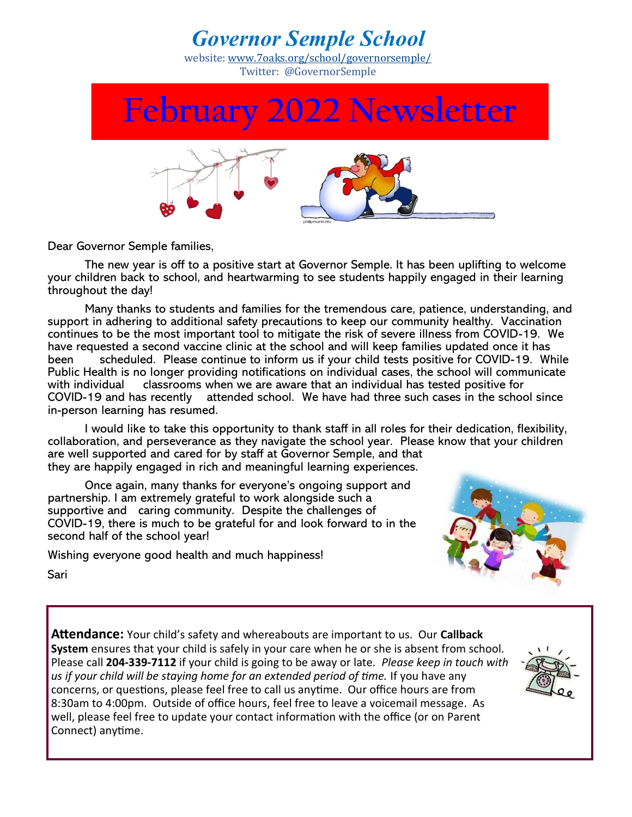## *Governor Semple School*

website: [www.7oaks.org/school/governorsemple/](http://www.7oaks.org/school/governorsemple/)  Twitter: @GovernorSemple

**February 2022 Newsletter**

Dear Governor Semple families,

The new year is off to a positive start at Governor Semple. It has been uplifting to welcome your children back to school, and heartwarming to see students happily engaged in their learning throughout the day!

Many thanks to students and families for the tremendous care, patience, understanding, and support in adhering to additional safety precautions to keep our community healthy. Vaccination continues to be the most important tool to mitigate the risk of severe illness from COVID-19. We have requested a second vaccine clinic at the school and will keep families updated once it has been scheduled. Please continue to inform us if your child tests positive for COVID-19. While Public Health is no longer providing notifications on individual cases, the school will communicate with individual classrooms when we are aware that an individual has tested positive for COVID-19 and has recently attended school. We have had three such cases in the school since in-person learning has resumed.

I would like to take this opportunity to thank staff in all roles for their dedication, flexibility, collaboration, and perseverance as they navigate the school year. Please know that your children are well supported and cared for by staff at Governor Semple, and that they are happily engaged in rich and meaningful learning experiences.

Once again, many thanks for everyone's ongoing support and partnership. I am extremely grateful to work alongside such a supportive and caring community. Despite the challenges of COVID-19, there is much to be grateful for and look forward to in the second half of the school year!

Wishing everyone good health and much happiness!



Sari

**Attendance:** Your child's safety and whereabouts are important to us. Our **Callback System** ensures that your child is safely in your care when he or she is absent from school. Please call **204-339-7112** if your child is going to be away or late*. Please keep in touch with us if your child will be staying home for an extended period of time.* If you have any concerns, or questions, please feel free to call us anytime. Our office hours are from 8:30am to 4:00pm. Outside of office hours, feel free to leave a voicemail message. As well, please feel free to update your contact information with the office (or on Parent Connect) anytime.

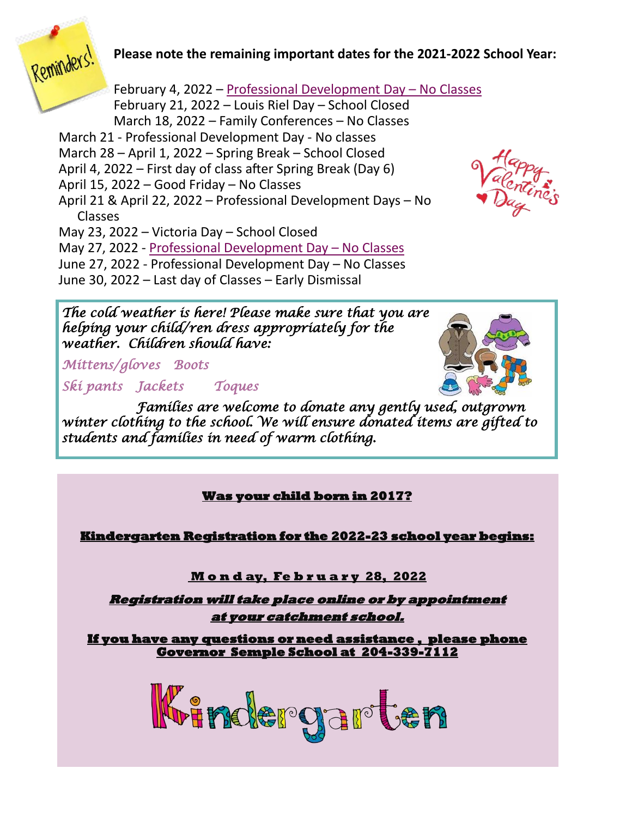

## **Please note the remaining important dates for the 2021-2022 School Year:**

February 4, 2022 – Professional Development Day – No Classes February 21, 2022 – Louis Riel Day – School Closed March 18, 2022 – Family Conferences – No Classes March 21 - Professional Development Day - No classes March 28 – April 1, 2022 – Spring Break – School Closed April 4, 2022 – First day of class after Spring Break (Day 6) April 15, 2022 – Good Friday – No Classes April 21 & April 22, 2022 – Professional Development Days – No Classes May 23, 2022 – Victoria Day – School Closed May 27, 2022 - Professional Development Day – No Classes June 27, 2022 - Professional Development Day – No Classes

June 30, 2022 – Last day of Classes – Early Dismissal

*The cold weather is here! Please make sure that you are helping your child/ren dress appropriately for the weather. Children should have:*

*Mittens/gloves Boots* 

*Ski pants Jackets Toques* 

*Families are welcome to donate any gently used, outgrown winter clothing to the school. We will ensure donated items are gifted to students and families in need of warm clothing.*

**Was your child born in 2017?** 

**Kindergarten Registration for the 2022-23 school year begins:** 

<u>**Monday, February 28, 2022**</u>

**Registration will take place online or by appointment at your catchment school.** 

**If you have any questions or need assistance , please phone Governor Semple School at 204-339-7112**